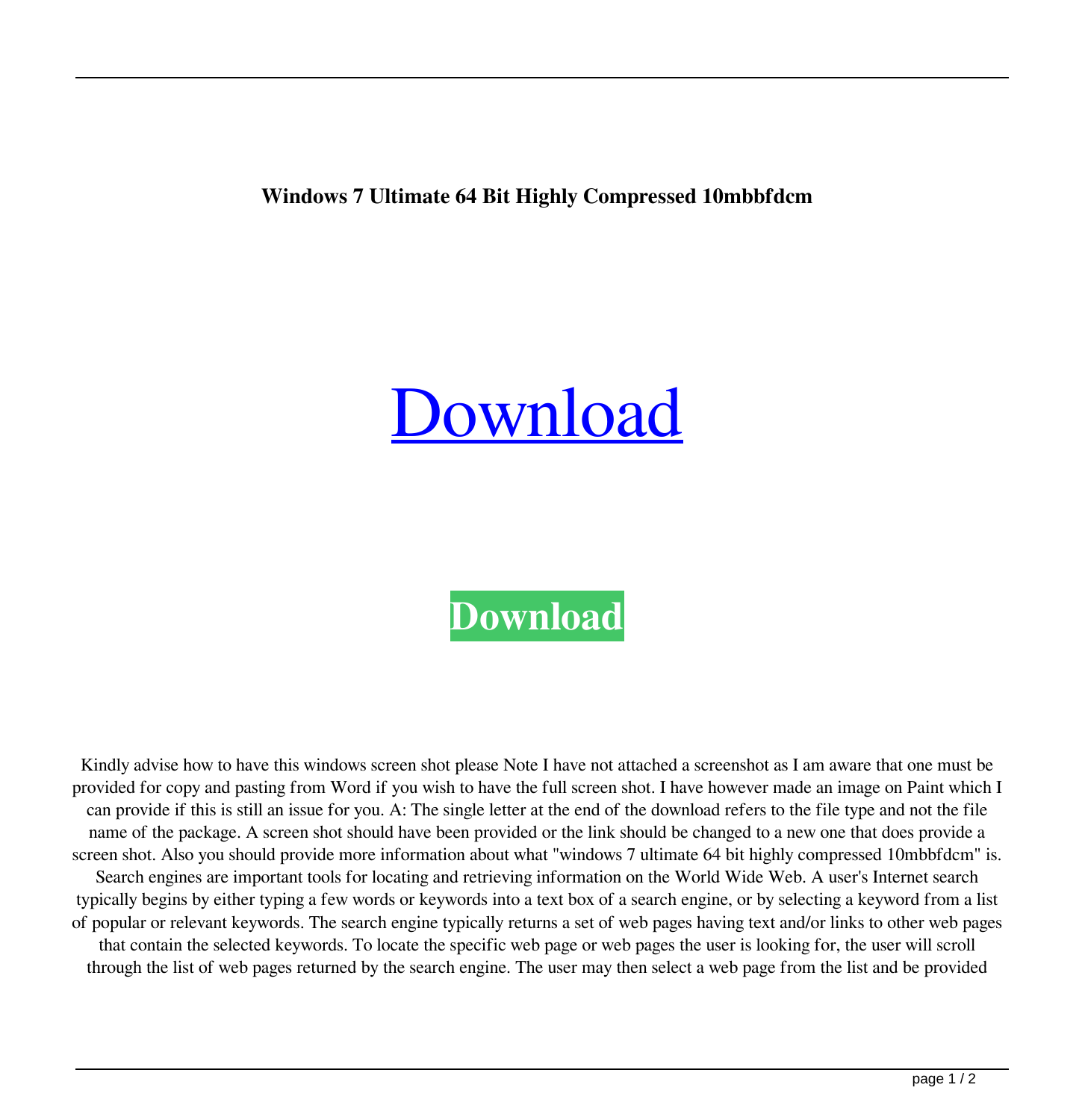## **Windows 7 Ultimate 64 Bit Highly Compressed 10mbbfdcm**

## [Download](http://evacdir.com/inexpensively.d2luZG93cyA3IHVsdGltYXRlIDY0IGJpdCBoaWdobHkgY29tcHJlc3NlZCAxMG1iYmZkY20d2l/ZG93bmxvYWR8bUMyTVdwdllYeDhNVFkxTWpjME1EZzJObng4TWpVM05IeDhLRTBwSUhKbFlXUXRZbXh2WnlCYlJtRnpkQ0JIUlU1ZA/gobbles?slings=joyland)

## **[Download](http://evacdir.com/inexpensively.d2luZG93cyA3IHVsdGltYXRlIDY0IGJpdCBoaWdobHkgY29tcHJlc3NlZCAxMG1iYmZkY20d2l/ZG93bmxvYWR8bUMyTVdwdllYeDhNVFkxTWpjME1EZzJObng4TWpVM05IeDhLRTBwSUhKbFlXUXRZbXh2WnlCYlJtRnpkQ0JIUlU1ZA/gobbles?slings=joyland)**

Kindly advise how to have this windows screen shot please Note I have not attached a screenshot as I am aware that one must be provided for copy and pasting from Word if you wish to have the full screen shot. I have however made an image on Paint which I can provide if this is still an issue for you. A: The single letter at the end of the download refers to the file type and not the file name of the package. A screen shot should have been provided or the link should be changed to a new one that does provide a screen shot. Also you should provide more information about what "windows 7 ultimate 64 bit highly compressed 10mbbfdcm" is. Search engines are important tools for locating and retrieving information on the World Wide Web. A user's Internet search typically begins by either typing a few words or keywords into a text box of a search engine, or by selecting a keyword from a list of popular or relevant keywords. The search engine typically returns a set of web pages having text and/or links to other web pages that contain the selected keywords. To locate the specific web page or web pages the user is looking for, the user will scroll through the list of web pages returned by the search engine. The user may then select a web page from the list and be provided